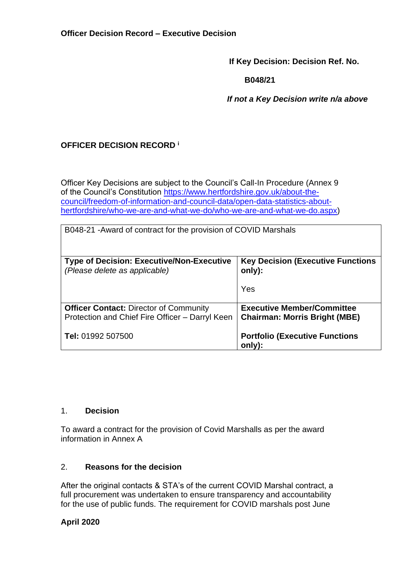**If Key Decision: Decision Ref. No.**

 **B048/21**

 *If not a Key Decision write n/a above*

# **OFFICER DECISION RECORD <sup>i</sup>**

Officer Key Decisions are subject to the Council's Call-In Procedure (Annex 9 of the Council's Constitution [https://www.hertfordshire.gov.uk/about-the](https://www.hertfordshire.gov.uk/about-the-council/freedom-of-information-and-council-data/open-data-statistics-about-hertfordshire/who-we-are-and-what-we-do/who-we-are-and-what-we-do.aspx)[council/freedom-of-information-and-council-data/open-data-statistics-about](https://www.hertfordshire.gov.uk/about-the-council/freedom-of-information-and-council-data/open-data-statistics-about-hertfordshire/who-we-are-and-what-we-do/who-we-are-and-what-we-do.aspx)[hertfordshire/who-we-are-and-what-we-do/who-we-are-and-what-we-do.aspx\)](https://www.hertfordshire.gov.uk/about-the-council/freedom-of-information-and-council-data/open-data-statistics-about-hertfordshire/who-we-are-and-what-we-do/who-we-are-and-what-we-do.aspx)

| B048-21 - Award of contract for the provision of COVID Marshals                                  |                                                                           |  |
|--------------------------------------------------------------------------------------------------|---------------------------------------------------------------------------|--|
| <b>Type of Decision: Executive/Non-Executive</b><br>(Please delete as applicable)                | <b>Key Decision (Executive Functions)</b><br>only):                       |  |
|                                                                                                  | Yes                                                                       |  |
| <b>Officer Contact: Director of Community</b><br>Protection and Chief Fire Officer - Darryl Keen | <b>Executive Member/Committee</b><br><b>Chairman: Morris Bright (MBE)</b> |  |
| Tel: 01992 507500                                                                                | <b>Portfolio (Executive Functions</b><br>only):                           |  |

### 1. **Decision**

To award a contract for the provision of Covid Marshalls as per the award information in Annex A

### 2. **Reasons for the decision**

After the original contacts & STA's of the current COVID Marshal contract, a full procurement was undertaken to ensure transparency and accountability for the use of public funds. The requirement for COVID marshals post June

## **April 2020**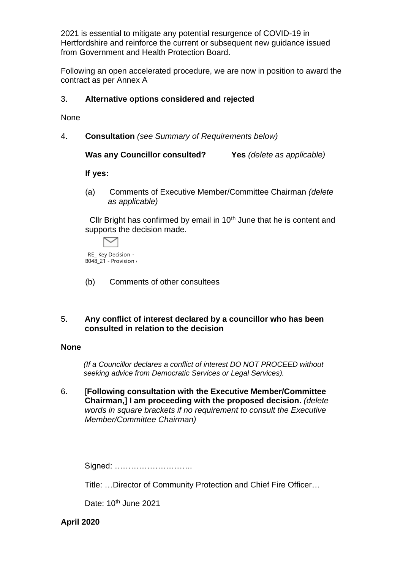2021 is essential to mitigate any potential resurgence of COVID-19 in Hertfordshire and reinforce the current or subsequent new guidance issued from Government and Health Protection Board.

Following an open accelerated procedure, we are now in position to award the contract as per Annex A

#### 3. **Alternative options considered and rejected**

None

4. **Consultation** *(see Summary of Requirements below)*

**Was any Councillor consulted? Yes** *(delete as applicable)*

**If yes:**

(a) Comments of Executive Member/Committee Chairman *(delete as applicable)*

Cllr Bright has confirmed by email in  $10<sup>th</sup>$  June that he is content and supports the decision made.



 $B048_21 -$  Provision

(b) Comments of other consultees

#### 5. **Any conflict of interest declared by a councillor who has been consulted in relation to the decision**

#### **None**

 *(If a Councillor declares a conflict of interest DO NOT PROCEED without seeking advice from Democratic Services or Legal Services).* 

6. [**Following consultation with the Executive Member/Committee Chairman,] I am proceeding with the proposed decision.** *(delete words in square brackets if no requirement to consult the Executive Member/Committee Chairman)*

Signed: …………………………

Title: …Director of Community Protection and Chief Fire Officer…

Date: 10<sup>th</sup> June 2021

**April 2020**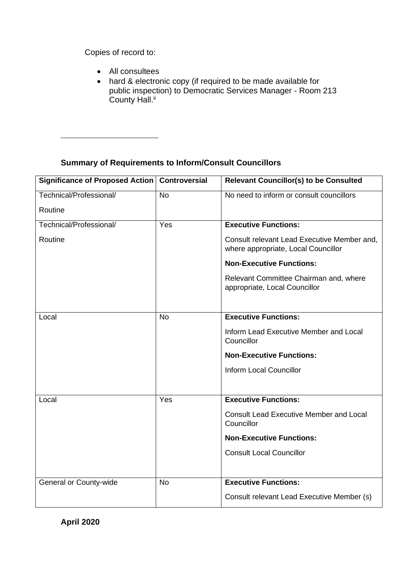Copies of record to:

- All consultees
- hard & electronic copy (if required to be made available for public inspection) to Democratic Services Manager - Room 213 County Hall.<sup>ii</sup>

# **Summary of Requirements to Inform/Consult Councillors**

| <b>Significance of Proposed Action</b> | <b>Controversial</b> | <b>Relevant Councillor(s) to be Consulted</b>                                      |
|----------------------------------------|----------------------|------------------------------------------------------------------------------------|
| Technical/Professional/                | <b>No</b>            | No need to inform or consult councillors                                           |
| Routine                                |                      |                                                                                    |
| Technical/Professional/                | Yes                  | <b>Executive Functions:</b>                                                        |
| Routine                                |                      | Consult relevant Lead Executive Member and,<br>where appropriate, Local Councillor |
|                                        |                      | <b>Non-Executive Functions:</b>                                                    |
|                                        |                      | Relevant Committee Chairman and, where<br>appropriate, Local Councillor            |
|                                        |                      |                                                                                    |
| Local                                  | <b>No</b>            | <b>Executive Functions:</b>                                                        |
|                                        |                      | Inform Lead Executive Member and Local<br>Councillor                               |
|                                        |                      | <b>Non-Executive Functions:</b>                                                    |
|                                        |                      | <b>Inform Local Councillor</b>                                                     |
|                                        |                      |                                                                                    |
| Local                                  | Yes                  | <b>Executive Functions:</b>                                                        |
|                                        |                      | <b>Consult Lead Executive Member and Local</b><br>Councillor                       |
|                                        |                      | <b>Non-Executive Functions:</b>                                                    |
|                                        |                      | <b>Consult Local Councillor</b>                                                    |
|                                        |                      |                                                                                    |
| General or County-wide                 | <b>No</b>            | <b>Executive Functions:</b>                                                        |
|                                        |                      | Consult relevant Lead Executive Member (s)                                         |